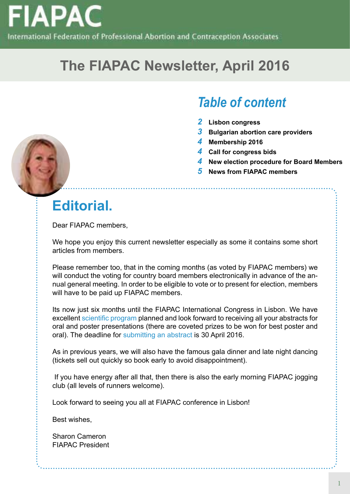

# **The FIAPAC Newsletter, April 2016**

# *Table of content*

- *2* **Lisbon congress**
- *3* **Bulgarian abortion care providers**
- *4* **Membership 2016**

- *4* **Call for congress bids**
- *4* **New election procedure for Board Members**
- *5* **News from FIAPAC members**

# **Editorial.**

Dear FIAPAC members,

We hope you enjoy this current newsletter especially as some it contains some short articles from members.

Please remember too, that in the coming months (as voted by FIAPAC members) we will conduct the voting for country board members electronically in advance of the annual general meeting. In order to be eligible to vote or to present for election, members will have to be paid up FIAPAC members.

Its now just six months until the FIAPAC International Congress in Lisbon. We have excellent [scientific program](http://fiapac.org/en/program/20/day1) planned and look forward to receiving all your abstracts for oral and poster presentations (there are coveted prizes to be won for best poster and oral). The deadline for [submitting an abstract](http://fiapac.org/en/program/20/Call-for-abstracts/) is 30 April 2016.

As in previous years, we will also have the famous gala dinner and late night dancing (tickets sell out quickly so book early to avoid disappointment).

 If you have energy after all that, then there is also the early morning FIAPAC jogging club (all levels of runners welcome).

Look forward to seeing you all at FIAPAC conference in Lisbon!

Best wishes,

Sharon Cameron FIAPAC President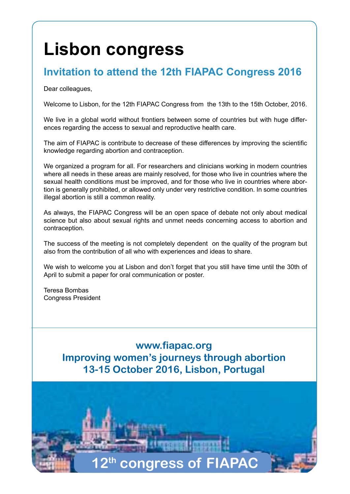# **Lisbon congress**

## **Invitation to attend the 12th FIAPAC Congress 2016**

Dear colleagues,

Welcome to Lisbon, for the 12th FIAPAC Congress from the 13th to the 15th October, 2016.

We live in a global world without frontiers between some of countries but with huge differences regarding the access to sexual and reproductive health care.

The aim of FIAPAC is contribute to decrease of these differences by improving the scientific knowledge regarding abortion and contraception.

We organized a program for all. For researchers and clinicians working in modern countries where all needs in these areas are mainly resolved, for those who live in countries where the sexual health conditions must be improved, and for those who live in countries where abortion is generally prohibited, or allowed only under very restrictive condition. In some countries illegal abortion is still a common reality.

As always, the FIAPAC Congress will be an open space of debate not only about medical science but also about sexual rights and unmet needs concerning access to abortion and contraception.

The success of the meeting is not completely dependent on the quality of the program but also from the contribution of all who with experiences and ideas to share.

We wish to welcome you at Lisbon and don't forget that you still have time until the 30th of April to submit a paper for oral communication or poster.

Teresa Bombas Congress President

> **www.fiapac.org Improving women's journeys through abortion 13-15 October 2016, Lisbon, Portugal**

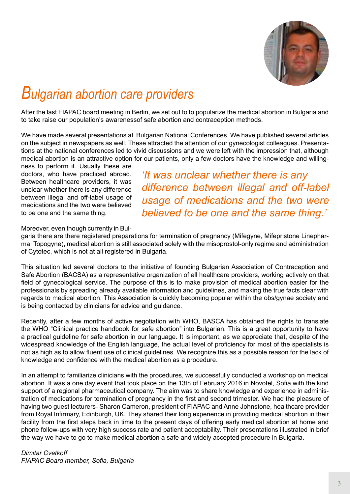

# *Bulgarian abortion care providers*

After the last FIAPAC board meeting in Berlin, we set out to to popularize the medical abortion in Bulgaria and to take raise our population's awarenessof safe abortion and contraception methods.

We have made several presentations at Bulgarian National Conferences. We have published several articles on the subject in newspapers as well. These attracted the attention of our gynecologist colleagues. Presentations at the national conferences led to vivid discussions and we were left with the impression that, although medical abortion is an attractive option for our patients, only a few doctors have the knowledge and willing-

ness to perform it. Usually these are doctors, who have practiced abroad. Between healthcare providers, it was unclear whether there is any difference between illegal and off-label usage of medications and the two were believed to be one and the same thing.

*'It was unclear whether there is any difference between illegal and off-label usage of medications and the two were believed to be one and the same thing.'*

Moreover, even though currently in Bul-

garia there are there registered preparations for termination of pregnancy (Mifegyne, Mifepristone Linepharma, Topogyne), medical abortion is still associated solely with the misoprostol-only regime and administration of Cytotec, which is not at all registered in Bulgaria.

This situation led several doctors to the initiative of founding Bulgarian Association of Contraception and Safe Abortion (BACSA) as a representative organization of all healthcare providers, working actively on that field of gynecological service. The purpose of this is to make provision of medical abortion easier for the professionals by spreading already available information and guidelines, and making the true facts clear with regards to medical abortion. This Association is quickly becoming popular within the obs/gynae society and is being contacted by clinicians for advice and guidance.

Recently, after a few months of active negotiation with WHO, BASCA has obtained the rights to translate the WHO "Clinical practice handbook for safe abortion" into Bulgarian. This is a great opportunity to have a practical guideline for safe abortion in our language. It is important, as we appreciate that, despite of the widespread knowledge of the English language, the actual level of proficiency for most of the specialists is not as high as to allow fluent use of clinical guidelines. We recognize this as a possible reason for the lack of knowledge and confidence with the medical abortion as a procedure.

In an attempt to familiarize clinicians with the procedures, we successfully conducted a workshop on medical abortion. It was a one day event that took place on the 13th of February 2016 in Novotel, Sofia with the kind support of a regional pharmaceutical company. The aim was to share knowledge and experience in administration of medications for termination of pregnancy in the first and second trimester. We had the pleasure of having two guest lecturers- Sharon Cameron, president of FIAPAC and Anne Johnstone, healthcare provider from Royal Infirmary, Edinburgh, UK. They shared their long experience in providing medical abortion in their facility from the first steps back in time to the present days of offering early medical abortion at home and phone follow-ups with very high success rate and patient acceptability. Their presentations illustrated in brief the way we have to go to make medical abortion a safe and widely accepted procedure in Bulgaria.

*Dimitar Cvetkoff FIAPAC Board member, Sofia, Bulgaria*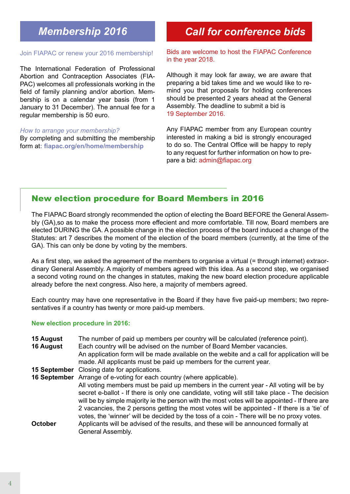# *Membership 2016*

#### Join FIAPAC or renew your 2016 membership!

The International Federation of Professional Abortion and Contraception Associates (FIA-PAC) welcomes all professionals working in the field of family planning and/or abortion. Membership is on a calendar year basis (from 1 January to 31 December). The annual fee for a regular membership is 50 euro.

#### *How to arrange your membership?*

By completing and submitting the membership form at**: [fiapac.org/en/home/membership](http://fiapac.org/en/home/membership)**

## *Call for conference bids*

Bids are welcome to host the FIAPAC Conference in the year 2018.

Although it may look far away, we are aware that preparing a bid takes time and we would like to remind you that proposals for holding conferences should be presented 2 years ahead at the General Assembly. The deadline to submit a bid is 19 September 2016.

Any FIAPAC member from any European country interested in making a bid is strongly encouraged to do so. The Central Office will be happy to reply to any request for further information on how to prepare a bid: [admin@fiapac.org](mailto:admin%40fiapac.org?subject=Call%20for%20conference%20bids)

### New election procedure for Board Members in 2016

The FIAPAC Board strongly recommended the option of electing the Board BEFORE the General Assembly (GA),so as to make the process more effecient and more comfortable. Till now, Board members are elected DURING the GA. A possible change in the election process of the board induced a change of the Statutes: art 7 describes the moment of the election of the board members (currently, at the time of the GA). This can only be done by voting by the members.

As a first step, we asked the agreement of the members to organise a virtual (= through internet) extraordinary General Assembly. A majority of members agreed with this idea. As a second step, we organised a second voting round on the changes in statutes, making the new board election procedure applicable already before the next congress. Also here, a majority of members agreed.

Each country may have one representative in the Board if they have five paid-up members; two representatives if a country has twenty or more paid-up members.

#### **New election procedure in 2016:**

- **15 August** The number of paid up members per country will be calculated (reference point).
- **16 August** Each country will be advised on the number of Board Member vacancies.
- An application form will be made available on the webite and a call for application will be made. All applicants must be paid up members for the current year.
- **15 September** Closing date for applications.

**16 September** Arrange of e-voting for each country (where applicable). All voting members must be paid up members in the current year - All voting will be by secret e-ballot - If there is only one candidate, voting will still take place - The decision will be by simple majority ie the person with the most votes will be appointed - If there are 2 vacancies, the 2 persons getting the most votes will be appointed - If there is a 'tie' of votes, the 'winner' will be decided by the toss of a coin - There will be no proxy votes. **October** Applicants will be advised of the results, and these will be announced formally at General Assembly.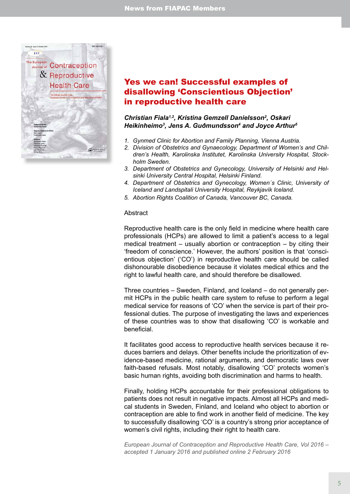

## Yes we can! Successful examples of disallowing 'Conscientious Objection' in reproductive health care

#### *Christian Fiala1,2, Kristina Gemzell Danielsson2 , Oskari Heikinheimo3 , Jens A. Guðmundsson4 and Joyce Arthur5*

- *1. Gynmed Clinic for Abortion and Family Planning, Vienna Austria.*
- *2. Division of Obstetrics and Gynaecology, Department of Women's and Children's Health, Karolinska Institutet, Karolinska University Hospital, Stockholm Sweden.*
- *3. Department of Obstetrics and Gynecology, University of Helsinki and Helsinki University Central Hospital, Helsinki Finland.*
- *4. Department of Obstetrics and Gynecology, Women´s Clinic, University of Iceland and Landspitali University Hospital, Reykjavík Iceland.*
- *5. Abortion Rights Coalition of Canada, Vancouver BC, Canada.*

#### **Abstract**

Reproductive health care is the only field in medicine where health care professionals (HCPs) are allowed to limit a patient's access to a legal medical treatment – usually abortion or contraception – by citing their 'freedom of conscience.' However, the authors' position is that 'conscientious objection' ('CO') in reproductive health care should be called dishonourable disobedience because it violates medical ethics and the right to lawful health care, and should therefore be disallowed.

Three countries – Sweden, Finland, and Iceland – do not generally permit HCPs in the public health care system to refuse to perform a legal medical service for reasons of 'CO' when the service is part of their professional duties. The purpose of investigating the laws and experiences of these countries was to show that disallowing 'CO' is workable and beneficial.

It facilitates good access to reproductive health services because it reduces barriers and delays. Other benefits include the prioritization of evidence-based medicine, rational arguments, and democratic laws over faith-based refusals. Most notably, disallowing 'CO' protects women's basic human rights, avoiding both discrimination and harms to health.

Finally, holding HCPs accountable for their professional obligations to patients does not result in negative impacts. Almost all HCPs and medical students in Sweden, Finland, and Iceland who object to abortion or contraception are able to find work in another field of medicine. The key to successfully disallowing 'CO' is a country's strong prior acceptance of women's civil rights, including their right to health care.

*European Journal of Contraception and Reproductive Health Care, Vol 2016 – accepted 1 January 2016 and published online 2 February 2016*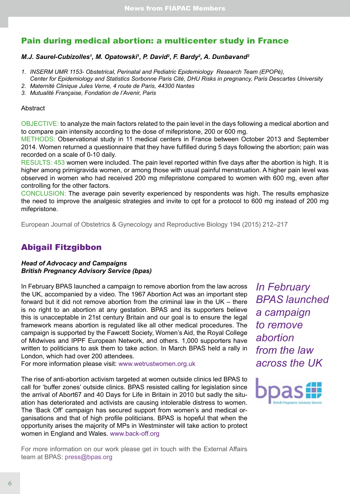## Pain during medical abortion: a multicenter study in France

#### *M.J. Saurel-Cubizolles<sup>1</sup>, M. Opatowski<sup>1</sup>, P. David<sup>2</sup>, F. Bardy<sup>2</sup>, A. Dunbavand<sup>3</sup>*

- *1. INSERM UMR 1153- Obstetrical, Perinatal and Pediatric Epidemiology Research Team (EPOPé), Center for Epidemiology and Statistics Sorbonne Paris Cité, DHU Risks in pregnancy, Paris Descartes University*
- *2. Maternité Clinique Jules Verne, 4 route de Paris, 44300 Nantes*
- *3. Mutualité Française, Fondation de l'Avenir, Paris*

#### Abstract

OBJECTIVE: to analyze the main factors related to the pain level in the days following a medical abortion and to compare pain intensity according to the dose of mifepristone, 200 or 600 mg.

METHODS: Observational study in 11 medical centers in France between October 2013 and September 2014. Women returned a questionnaire that they have fulfilled during 5 days following the abortion; pain was recorded on a scale of 0-10 daily.

RESULTS: 453 women were included. The pain level reported within five days after the abortion is high. It is higher among primigravida women, or among those with usual painful menstruation. A higher pain level was observed in women who had received 200 mg mifepristone compared to women with 600 mg, even after controlling for the other factors.

CONCLUSION: The average pain severity experienced by respondents was high. The results emphasize the need to improve the analgesic strategies and invite to opt for a protocol to 600 mg instead of 200 mg mifepristone.

European Journal of Obstetrics & Gynecology and Reproductive Biology 194 (2015) 212–217

## Abigail Fitzgibbon

#### *Head of Advocacy and Campaigns British Pregnancy Advisory Service (bpas)*

In February BPAS launched a campaign to remove abortion from the law across the UK, accompanied by a video. The 1967 Abortion Act was an important step forward but it did not remove abortion from the criminal law in the UK – there is no right to an abortion at any gestation. BPAS and its supporters believe this is unacceptable in 21st century Britain and our goal is to ensure the legal framework means abortion is regulated like all other medical procedures. The campaign is supported by the Fawcett Society, Women's Aid, the Royal College of Midwives and IPPF European Network, and others. 1,000 supporters have written to politicians to ask them to take action. In March BPAS held a rally in London, which had over 200 attendees.

For more information please visit: [www.wetrustwomen.org.uk](http://www.wetrustwomen.org.uk/)

The rise of anti-abortion activism targeted at women outside clinics led BPAS to call for 'buffer zones' outside clinics. BPAS resisted calling for legislation since the arrival of Abort67 and 40 Days for Life in Britain in 2010 but sadly the situation has deteriorated and activists are causing intolerable distress to women. The 'Back Off' campaign has secured support from women's and medical organisations and that of high profile politicians. BPAS is hopeful that when the opportunity arises the majority of MPs in Westminster will take action to protect women in England and Wales. [www.back-off.org](http://www.back-off.org/)

*In February BPAS launched a campaign to remove abortion from the law across the UK*



For more information on our work please get in touch with the External Affairs team at BPAS: [press@bpas.org](mailto:press%40bpas.org?subject=)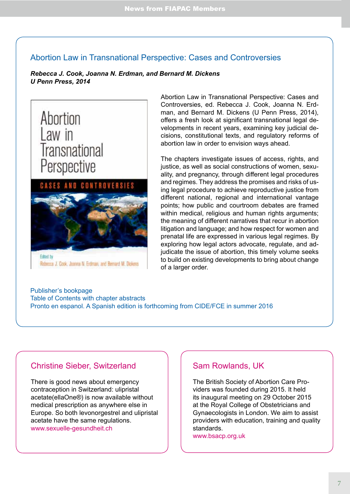### Abortion Law in Transnational Perspective: Cases and Controversies

*Rebecca J. Cook, Joanna N. Erdman, and Bernard M. Dickens U Penn Press, 2014*



Abortion Law in Transnational Perspective: Cases and Controversies, ed. Rebecca J. Cook, Joanna N. Erdman, and Bernard M. Dickens (U Penn Press, 2014), offers a fresh look at significant transnational legal developments in recent years, examining key judicial decisions, constitutional texts, and regulatory reforms of abortion law in order to envision ways ahead.

The chapters investigate issues of access, rights, and justice, as well as social constructions of women, sexuality, and pregnancy, through different legal procedures and regimes. They address the promises and risks of using legal procedure to achieve reproductive justice from different national, regional and international vantage points; how public and courtroom debates are framed within medical, religious and human rights arguments; the meaning of different narratives that recur in abortion litigation and language; and how respect for women and prenatal life are expressed in various legal regimes. By exploring how legal actors advocate, regulate, and adjudicate the issue of abortion, this timely volume seeks to build on existing developments to bring about change of a larger order.

[Publisher's bookpage](http://www.upenn.edu/pennpress/book/15282.html) [Table of Contents with chapter abstracts](https://reprohealthlaw.wordpress.com/2014/09/04/abortion-law-in-transnational-perspective-cases-and-controversies/) [Pronto en espanol](http://www.law.utoronto.ca/utfl_file/count/documents/reprohealth/book_abortion_spanish_flyer.pdf). [A Spanish edition is forthcoming from CIDE/FCE in summer 2016](http://www.law.utoronto.ca/utfl_file/count/documents/reprohealth/book_abortion_spanish_flyer.pdf)

### Christine Sieber, Switzerland

There is good news about emergency contraception in Switzerland: ulipristal acetate(ellaOne®) is now available without medical prescription as anywhere else in Europe. So both levonorgestrel and ulipristal acetate have the same regulations. [www.sexuelle-gesundheit.ch](http://www.sexuelle-gesundheit.ch)

### Sam Rowlands, UK

The British Society of Abortion Care Providers was founded during 2015. It held its inaugural meeting on 29 October 2015 at the Royal College of Obstetricians and Gynaecologists in London. We aim to assist providers with education, training and quality standards.

[www.bsacp.org.uk](http://www.bsacp.org.uk)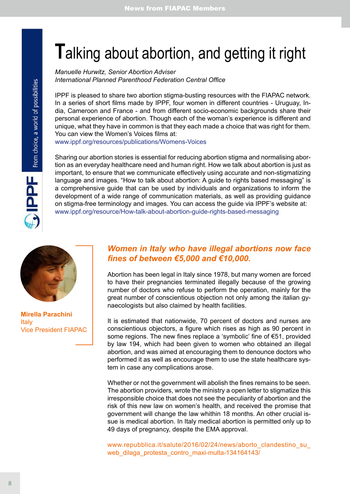# **T**alking about abortion, and getting it right

*Manuelle Hurwitz, Senior Abortion Adviser International Planned Parenthood Federation Central Office*

IPPF is pleased to share two abortion stigma-busting resources with the FIAPAC network. In a series of short films made by IPPF, four women in different countries - Uruguay, India, Cameroon and France - and from different socio-economic backgrounds share their personal experience of abortion. Though each of the woman's experience is different and unique, what they have in common is that they each made a choice that was right for them. You can view the Women's Voices films at: [www.ippf.org/resources/publications/Womens-Voices](http://www.ippf.org/resources/publications/Womens-Voices)

Sharing our abortion stories is essential for reducing abortion stigma and normalising abortion as an everyday healthcare need and human right. How we talk about abortion is just as important, to ensure that we communicate effectively using accurate and non-stigmatizing language and images. "How to talk about abortion: A guide to rights based messaging" is a comprehensive guide that can be used by individuals and organizations to inform the development of a wide range of communication materials, as well as providing guidance on stigma-free terminology and images. You can access the guide via IPPF's website at: [www.ippf.org/resource/How-talk-about-abortion-guide-rights-based-messaging](http://www.ippf.org/resource/How-talk-about-abortion-guide-rights-based-messaging)



**PIPI** From choice, a world of possibilities

**Mirella Parachini** Italy Vice President FIAPAC

### *Women in Italy who have illegal abortions now face fines of between €5,000 and €10,000.*

Abortion has been legal in Italy since 1978, but many women are forced to have their pregnancies terminated illegally because of the growing number of doctors who refuse to perform the operation, mainly for the great number of conscientious objection not only among the italian gynaecologists but also claimed by health facilities.

It is estimated that nationwide, 70 percent of doctors and nurses are conscientious objectors, a figure which rises as high as 90 percent in some regions. The new fines replace a 'symbolic' fine of €51, provided by law 194, which had been given to women who obtained an illegal abortion, and was aimed at encouraging them to denounce doctors who performed it as well as encourage them to use the state healthcare system in case any complications arose.

Whether or not the government will abolish the fines remains to be seen. The abortion providers, wrote the ministry a open letter to stigmatize this irresponsible choice that does not see the peculiarity of abortion and the risk of this new law on women's health, and received the promise that government will change the law whithin 18 months. An other crucial issue is medical abortion. In Italy medical abortion is permitted only up to 49 days of pregnancy, despite the EMA approval.

[www.repubblica.it/salute/2016/02/24/news/aborto\\_clandestino\\_su\\_](http://www.repubblica.it/salute/2016/02/24/news/aborto_clandestino_su_web_dilaga_protesta_contro_maxi-multa-134164143/) web dilaga protesta contro maxi-multa-134164143/